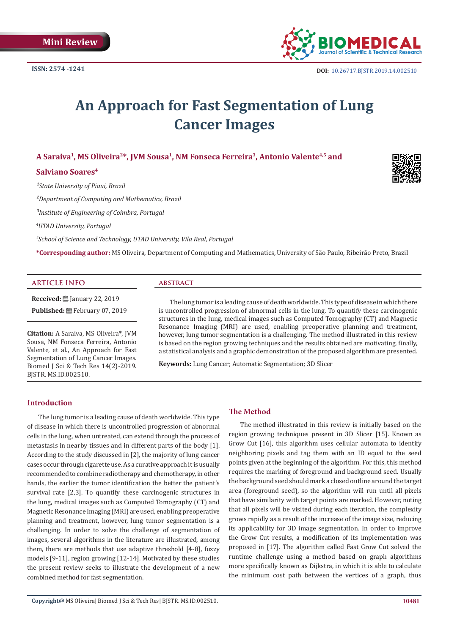

# **An Approach for Fast Segmentation of Lung Cancer Images**

**A Saraiva1, MS Oliveira2\*, JVM Sousa1, NM Fonseca Ferreira3, Antonio Valente4,5 and** 

## **Salviano Soares4**

<sup>1</sup>State University of Piaui, Brazil

*²Department of Computing and Mathematics, Brazil*

*³Institute of Engineering of Coimbra, Portugal*

*4 UTAD University, Portugal*

*5 School of Science and Technology, UTAD University, Vila Real, Portugal*

**\*Corresponding author:** MS Oliveira, Department of Computing and Mathematics, University of São Paulo, Ribeirão Preto, Brazil

## **ARTICLE INFO**

**Received:** January 22, 2019

Published: **■**February 07, 2019

**Citation:** A Saraiva, MS Oliveira\*, JVM Sousa, NM Fonseca Ferreira, Antonio Valente, et al., An Approach for Fast Segmentation of Lung Cancer Images. Biomed J Sci & Tech Res 14(2)-2019. BJSTR. MS.ID.002510.

## **abstract**

The lung tumor is a leading cause of death worldwide. This type of disease in which there is uncontrolled progression of abnormal cells in the lung. To quantify these carcinogenic structures in the lung, medical images such as Computed Tomography (CT) and Magnetic Resonance Imaging (MRI) are used, enabling preoperative planning and treatment, however, lung tumor segmentation is a challenging. The method illustrated in this review is based on the region growing techniques and the results obtained are motivating, finally, a statistical analysis and a graphic demonstration of the proposed algorithm are presented.

**Keywords:** Lung Cancer; Automatic Segmentation; 3D Slicer

# **Introduction**

The lung tumor is a leading cause of death worldwide. This type of disease in which there is uncontrolled progression of abnormal cells in the lung, when untreated, can extend through the process of metastasis in nearby tissues and in different parts of the body [1]. According to the study discussed in [2], the majority of lung cancer cases occur through cigarette use. As a curative approach it is usually recommended to combine radiotherapy and chemotherapy, in other hands, the earlier the tumor identification the better the patient's survival rate [2,3]. To quantify these carcinogenic structures in the lung, medical images such as Computed Tomography (CT) and Magnetic Resonance Imaging (MRI) are used, enabling preoperative planning and treatment, however, lung tumor segmentation is a challenging. In order to solve the challenge of segmentation of images, several algorithms in the literature are illustrated, among them, there are methods that use adaptive threshold [4-8], fuzzy models [9-11], region growing [12-14]. Motivated by these studies the present review seeks to illustrate the development of a new combined method for fast segmentation.

# **The Method**

The method illustrated in this review is initially based on the region growing techniques present in 3D Slicer [15]. Known as Grow Cut [16], this algorithm uses cellular automata to identify neighboring pixels and tag them with an ID equal to the seed points given at the beginning of the algorithm. For this, this method requires the marking of foreground and background seed. Usually the background seed should mark a closed outline around the target area (foreground seed), so the algorithm will run until all pixels that have similarity with target points are marked. However, noting that all pixels will be visited during each iteration, the complexity grows rapidly as a result of the increase of the image size, reducing its applicability for 3D image segmentation. In order to improve the Grow Cut results, a modification of its implementation was proposed in [17]. The algorithm called Fast Grow Cut solved the runtime challenge using a method based on graph algorithms more specifically known as Dijkstra, in which it is able to calculate the minimum cost path between the vertices of a graph, thus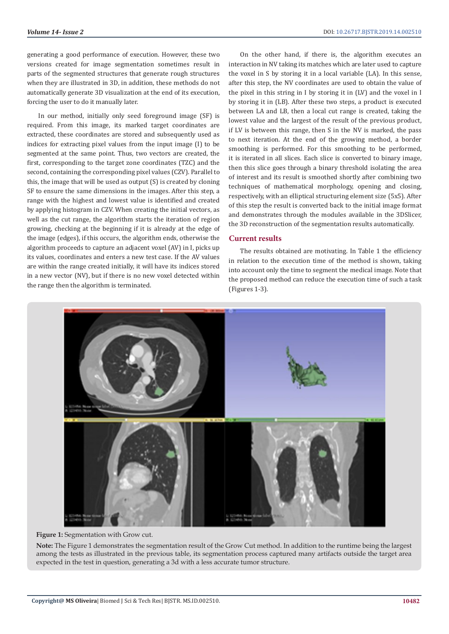generating a good performance of execution. However, these two versions created for image segmentation sometimes result in parts of the segmented structures that generate rough structures when they are illustrated in 3D, in addition, these methods do not automatically generate 3D visualization at the end of its execution, forcing the user to do it manually later.

In our method, initially only seed foreground image (SF) is required. From this image, its marked target coordinates are extracted, these coordinates are stored and subsequently used as indices for extracting pixel values from the input image (I) to be segmented at the same point. Thus, two vectors are created, the first, corresponding to the target zone coordinates (TZC) and the second, containing the corresponding pixel values (CZV). Parallel to this, the image that will be used as output (S) is created by cloning SF to ensure the same dimensions in the images. After this step, a range with the highest and lowest value is identified and created by applying histogram in CZV. When creating the initial vectors, as well as the cut range, the algorithm starts the iteration of region growing, checking at the beginning if it is already at the edge of the image (edges), if this occurs, the algorithm ends, otherwise the algorithm proceeds to capture an adjacent voxel (AV) in I, picks up its values, coordinates and enters a new test case. If the AV values are within the range created initially, it will have its indices stored in a new vector (NV), but if there is no new voxel detected within the range then the algorithm is terminated.

On the other hand, if there is, the algorithm executes an interaction in NV taking its matches which are later used to capture the voxel in S by storing it in a local variable (LA). In this sense, after this step, the NV coordinates are used to obtain the value of the pixel in this string in I by storing it in (LV) and the voxel in I by storing it in (LB). After these two steps, a product is executed between LA and LB, then a local cut range is created, taking the lowest value and the largest of the result of the previous product, if LV is between this range, then S in the NV is marked, the pass to next iteration. At the end of the growing method, a border smoothing is performed. For this smoothing to be performed, it is iterated in all slices. Each slice is converted to binary image, then this slice goes through a binary threshold isolating the area of interest and its result is smoothed shortly after combining two techniques of mathematical morphology, opening and closing, respectively, with an elliptical structuring element size (5x5). After of this step the result is converted back to the initial image format and demonstrates through the modules available in the 3DSlicer, the 3D reconstruction of the segmentation results automatically.

## **Current results**

The results obtained are motivating. In Table 1 the efficiency in relation to the execution time of the method is shown, taking into account only the time to segment the medical image. Note that the proposed method can reduce the execution time of such a task (Figures 1-3).



**Figure 1:** Segmentation with Grow cut.

**Note:** The Figure 1 demonstrates the segmentation result of the Grow Cut method. In addition to the runtime being the largest among the tests as illustrated in the previous table, its segmentation process captured many artifacts outside the target area expected in the test in question, generating a 3d with a less accurate tumor structure.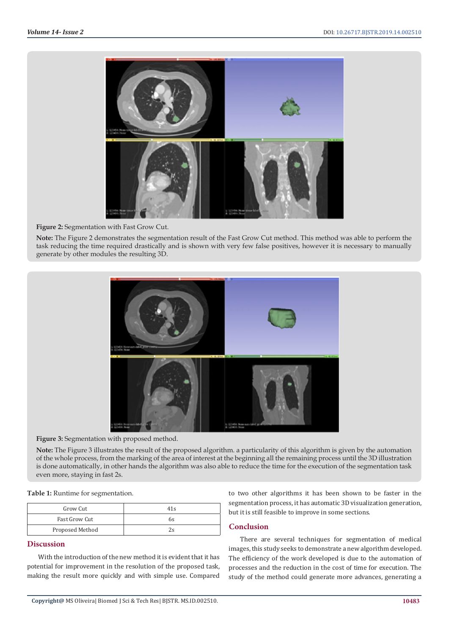

**Figure 2:** Segmentation with Fast Grow Cut.

**Note:** The Figure 2 demonstrates the segmentation result of the Fast Grow Cut method. This method was able to perform the task reducing the time required drastically and is shown with very few false positives, however it is necessary to manually generate by other modules the resulting 3D.



**Figure 3:** Segmentation with proposed method.

**Note:** The Figure 3 illustrates the result of the proposed algorithm. a particularity of this algorithm is given by the automation of the whole process, from the marking of the area of interest at the beginning all the remaining process until the 3D illustration is done automatically, in other hands the algorithm was also able to reduce the time for the execution of the segmentation task even more, staying in fast 2s.

**Table 1:** Runtime for segmentation.

| Grow Cut        | 41s |
|-----------------|-----|
| Fast Grow Cut   | 6s  |
| Proposed Method |     |

# **Discussion**

With the introduction of the new method it is evident that it has potential for improvement in the resolution of the proposed task, making the result more quickly and with simple use. Compared

to two other algorithms it has been shown to be faster in the segmentation process, it has automatic 3D visualization generation, but it is still feasible to improve in some sections.

# **Conclusion**

There are several techniques for segmentation of medical images, this study seeks to demonstrate a new algorithm developed. The efficiency of the work developed is due to the automation of processes and the reduction in the cost of time for execution. The study of the method could generate more advances, generating a